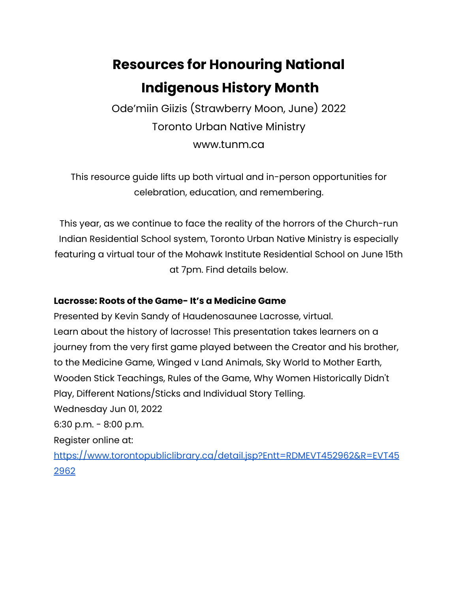# **Resources for Honouring National Indigenous History Month**

Ode'miin Giizis (Strawberry Moon, June) 2022 Toronto Urban Native Ministry www.tunm.ca

This resource guide lifts up both virtual and in-person opportunities for celebration, education, and remembering.

This year, as we continue to face the reality of the horrors of the Church-run Indian Residential School system, Toronto Urban Native Ministry is especially featuring a virtual tour of the Mohawk Institute Residential School on June 15th at 7pm. Find details below.

#### **Lacrosse: Roots of the Game- It's a Medicine Game**

Presented by Kevin Sandy of Haudenosaunee Lacrosse, virtual. Learn about the history of lacrosse! This presentation takes learners on a journey from the very first game played between the Creator and his brother, to the Medicine Game, Winged v Land Animals, Sky World to Mother Earth, Wooden Stick Teachings, Rules of the Game, Why Women Historically Didn't Play, Different Nations/Sticks and Individual Story Telling. Wednesday Jun 01, 2022 6:30 p.m. - 8:00 p.m. Register online at: [https://www.torontopubliclibrary.ca/detail.jsp?Entt=RDMEVT452962&R=EVT45](https://www.torontopubliclibrary.ca/detail.jsp?Entt=RDMEVT452962&R=EVT452962) [2962](https://www.torontopubliclibrary.ca/detail.jsp?Entt=RDMEVT452962&R=EVT452962)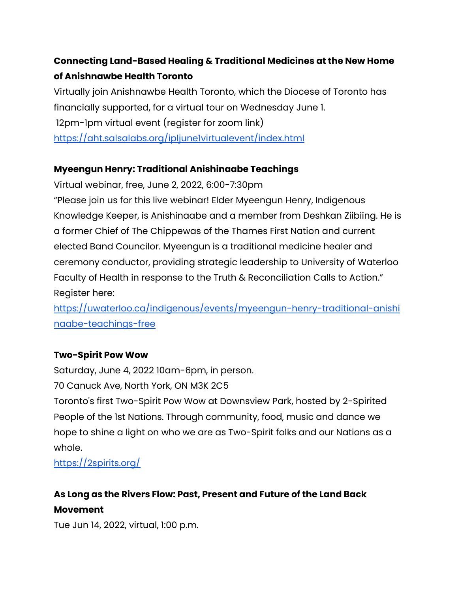## **Connecting Land-Based Healing & Traditional Medicines at the New Home of Anishnawbe Health Toronto**

Virtually join Anishnawbe Health Toronto, which the Diocese of Toronto has financially supported, for a virtual tour on Wednesday June 1. 12pm-1pm virtual event (register for zoom link) <https://aht.salsalabs.org/ipljune1virtualevent/index.html>

#### **Myeengun Henry: Traditional Anishinaabe Teachings**

Virtual webinar, free, June 2, 2022, 6:00-7:30pm "Please join us for this live webinar! Elder Myeengun Henry, Indigenous Knowledge Keeper, is Anishinaabe and a member from Deshkan Ziibiing. He is a former Chief of The Chippewas of the Thames First Nation and current elected Band Councilor. Myeengun is a traditional medicine healer and ceremony conductor, providing strategic leadership to University of Waterloo Faculty of Health in response to the Truth & Reconciliation Calls to Action." Register here:

[https://uwaterloo.ca/indigenous/events/myeengun-henry-traditional-anishi](https://uwaterloo.ca/indigenous/events/myeengun-henry-traditional-anishinaabe-teachings-free) [naabe-teachings-free](https://uwaterloo.ca/indigenous/events/myeengun-henry-traditional-anishinaabe-teachings-free)

#### **Two-Spirit Pow Wow**

Saturday, June 4, 2022 10am-6pm, in person.

70 Canuck Ave, North York, ON M3K 2C5

Toronto's first Two-Spirit Pow Wow at Downsview Park, hosted by 2-Spirited People of the 1st Nations. Through community, food, music and dance we hope to shine a light on who we are as Two-Spirit folks and our Nations as a whole.

<https://2spirits.org/>

# **As Long as the Rivers Flow: Past, Present and Future of the Land Back Movement**

Tue Jun 14, 2022, virtual, 1:00 p.m.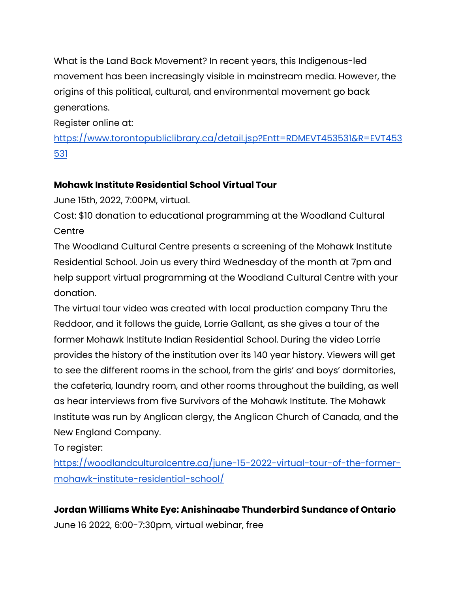What is the Land Back Movement? In recent years, this Indigenous-led movement has been increasingly visible in mainstream media. However, the origins of this political, cultural, and environmental movement go back generations.

Register online at:

[https://www.torontopubliclibrary.ca/detail.jsp?Entt=RDMEVT453531&R=EVT453](https://www.torontopubliclibrary.ca/detail.jsp?Entt=RDMEVT453531&R=EVT453531) [531](https://www.torontopubliclibrary.ca/detail.jsp?Entt=RDMEVT453531&R=EVT453531)

#### **Mohawk Institute Residential School Virtual Tour**

June 15th, 2022, 7:00PM, virtual.

Cost: \$10 donation to educational programming at the Woodland Cultural **Centre** 

The Woodland Cultural Centre presents a screening of the Mohawk Institute Residential School. Join us every third Wednesday of the month at 7pm and help support virtual programming at the Woodland Cultural Centre with your donation.

The virtual tour video was created with local production company Thru the Reddoor, and it follows the guide, Lorrie Gallant, as she gives a tour of the former Mohawk Institute Indian Residential School. During the video Lorrie provides the history of the institution over its 140 year history. Viewers will get to see the different rooms in the school, from the girls' and boys' dormitories, the cafeteria, laundry room, and other rooms throughout the building, as well as hear interviews from five Survivors of the Mohawk Institute. The Mohawk Institute was run by Anglican clergy, the Anglican Church of Canada, and the New England Company.

To register:

[https://woodlandculturalcentre.ca/june-15-2022-virtual-tour-of-the-former](https://woodlandculturalcentre.ca/june-15-2022-virtual-tour-of-the-former-mohawk-institute-residential-school/)[mohawk-institute-residential-school/](https://woodlandculturalcentre.ca/june-15-2022-virtual-tour-of-the-former-mohawk-institute-residential-school/)

**Jordan Williams White Eye: Anishinaabe Thunderbird Sundance of Ontario** June 16 2022, 6:00-7:30pm, virtual webinar, free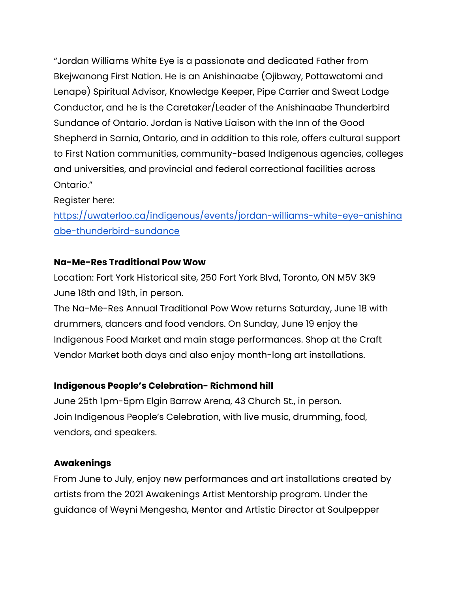"Jordan Williams White Eye is a passionate and dedicated Father from Bkejwanong First Nation. He is an Anishinaabe (Ojibway, Pottawatomi and Lenape) Spiritual Advisor, Knowledge Keeper, Pipe Carrier and Sweat Lodge Conductor, and he is the Caretaker/Leader of the Anishinaabe Thunderbird Sundance of Ontario. Jordan is Native Liaison with the Inn of the Good Shepherd in Sarnia, Ontario, and in addition to this role, offers cultural support to First Nation communities, community-based Indigenous agencies, colleges and universities, and provincial and federal correctional facilities across Ontario."

Register here:

[https://uwaterloo.ca/indigenous/events/jordan-williams-white-eye-anishina](https://uwaterloo.ca/indigenous/events/jordan-williams-white-eye-anishinaabe-thunderbird-sundance) [abe-thunderbird-sundance](https://uwaterloo.ca/indigenous/events/jordan-williams-white-eye-anishinaabe-thunderbird-sundance)

#### **Na-Me-Res Traditional Pow Wow**

Location: Fort York Historical site, 250 Fort York Blvd, Toronto, ON M5V 3K9 June 18th and 19th, in person.

The Na-Me-Res Annual Traditional Pow Wow returns Saturday, June 18 with drummers, dancers and food vendors. On Sunday, June 19 enjoy the Indigenous Food Market and main stage performances. Shop at the Craft Vendor Market both days and also enjoy month-long art installations.

#### **Indigenous People's Celebration- Richmond hill**

June 25th 1pm-5pm Elgin Barrow Arena, 43 Church St., in person. Join Indigenous People's Celebration, with live music, drumming, food, vendors, and speakers.

#### **Awakenings**

From June to July, enjoy new performances and art installations created by artists from the 2021 Awakenings Artist Mentorship program. Under the guidance of Weyni Mengesha, Mentor and Artistic Director at Soulpepper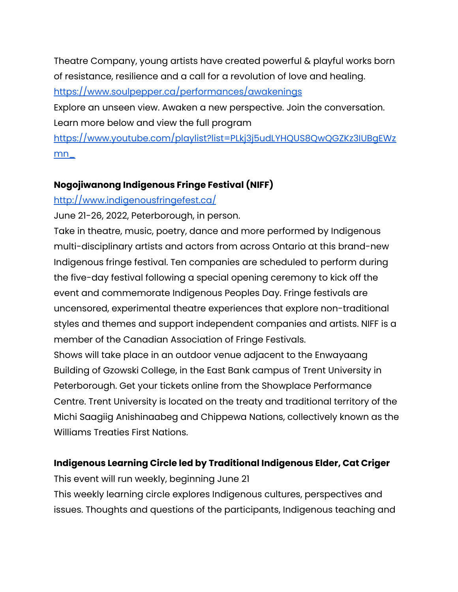Theatre Company, young artists have created powerful & playful works born of resistance, resilience and a call for a revolution of love and healing.

<https://www.soulpepper.ca/performances/awakenings>

Explore an unseen view. Awaken a new perspective. Join the conversation. Learn more below and view the full program

[https://www.youtube.com/playlist?list=PLkj3j5udLYHQUS8QwQGZKz3IUBgEWz](https://www.youtube.com/playlist?list=PLkj3j5udLYHQUS8QwQGZKz3IUBgEWzmn_) [mn\\_](https://www.youtube.com/playlist?list=PLkj3j5udLYHQUS8QwQGZKz3IUBgEWzmn_)

#### **Nogojiwanong Indigenous Fringe Festival (NIFF)**

#### <http://www.indigenousfringefest.ca/>

June 21-26, 2022, Peterborough, in person.

Take in theatre, music, poetry, dance and more performed by Indigenous multi-disciplinary artists and actors from across Ontario at this brand-new Indigenous fringe festival. Ten companies are scheduled to perform during the five-day festival following a special opening ceremony to kick off the event and commemorate Indigenous Peoples Day. Fringe festivals are uncensored, experimental theatre experiences that explore non-traditional styles and themes and support independent companies and artists. NIFF is a member of the Canadian Association of Fringe Festivals.

Shows will take place in an outdoor venue adjacent to the Enwayaang Building of Gzowski College, in the East Bank campus of Trent University in Peterborough. Get your tickets online from the Showplace Performance Centre. Trent University is located on the treaty and traditional territory of the Michi Saagiig Anishinaabeg and Chippewa Nations, collectively known as the Williams Treaties First Nations.

#### **Indigenous Learning Circle led by Traditional Indigenous Elder, Cat Criger**

This event will run weekly, beginning June 21 This weekly learning circle explores Indigenous cultures, perspectives and issues. Thoughts and questions of the participants, Indigenous teaching and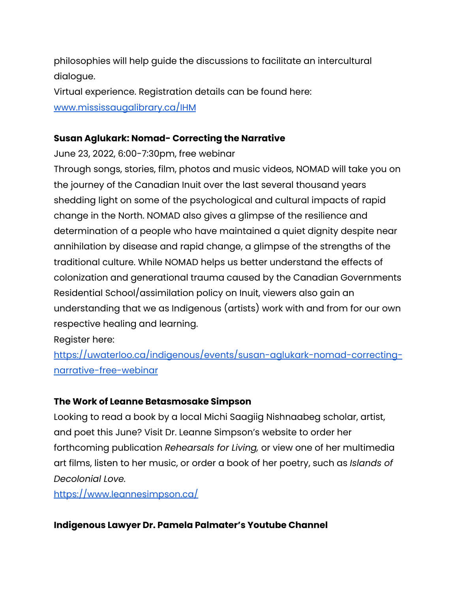philosophies will help guide the discussions to facilitate an intercultural dialogue.

Virtual experience. Registration details can be found here: [www.mississaugalibrary.ca/IHM](http://www.mississaugalibrary.ca/IHM)

#### **Susan Aglukark: Nomad- Correcting the Narrative**

June 23, 2022, 6:00-7:30pm, free webinar

Through songs, stories, film, photos and music videos, NOMAD will take you on the journey of the Canadian Inuit over the last several thousand years shedding light on some of the psychological and cultural impacts of rapid change in the North. NOMAD also gives a glimpse of the resilience and determination of a people who have maintained a quiet dignity despite near annihilation by disease and rapid change, a glimpse of the strengths of the traditional culture. While NOMAD helps us better understand the effects of colonization and generational trauma caused by the Canadian Governments Residential School/assimilation policy on Inuit, viewers also gain an understanding that we as Indigenous (artists) work with and from for our own respective healing and learning.

Register here:

[https://uwaterloo.ca/indigenous/events/susan-aglukark-nomad-correcting](https://uwaterloo.ca/indigenous/events/susan-aglukark-nomad-correcting-narrative-free-webinar)[narrative-free-webinar](https://uwaterloo.ca/indigenous/events/susan-aglukark-nomad-correcting-narrative-free-webinar)

#### **The Work of Leanne Betasmosake Simpson**

Looking to read a book by a local Michi Saagiig Nishnaabeg scholar, artist, and poet this June? Visit Dr. Leanne Simpson's website to order her forthcoming publication *Rehearsals for Living,* or view one of her multimedia art films, listen to her music, or order a book of her poetry, such as *Islands of Decolonial Love.*

<https://www.leannesimpson.ca/>

#### **Indigenous Lawyer Dr. Pamela Palmater's Youtube Channel**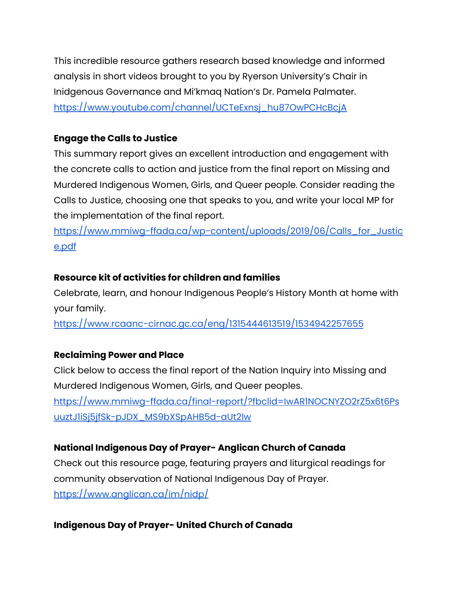This incredible resource gathers research based knowledge and informed analysis in short videos brought to you by Ryerson University's Chair in Inidgenous Governance and Mi'kmaq Nation's Dr. Pamela Palmater. [https://www.youtube.com/channel/UCTeExnsj\\_hu87OwPCHcBcjA](https://www.youtube.com/channel/UCTeExnsj_hu87OwPCHcBcjA)

#### **Engage the Calls to Justice**

This summary report gives an excellent introduction and engagement with the concrete calls to action and justice from the final report on Missing and Murdered Indigenous Women, Girls, and Queer people. Consider reading the Calls to Justice, choosing one that speaks to you, and write your local MP for the implementation of the final report.

[https://www.mmiwg-ffada.ca/wp-content/uploads/2019/06/Calls\\_for\\_Justic](https://www.mmiwg-ffada.ca/wp-content/uploads/2019/06/Calls_for_Justice.pdf) [e.pdf](https://www.mmiwg-ffada.ca/wp-content/uploads/2019/06/Calls_for_Justice.pdf)

#### **Resource kit of activities for children and families**

Celebrate, learn, and honour Indigenous People's History Month at home with your family.

<https://www.rcaanc-cirnac.gc.ca/eng/1315444613519/1534942257655>

#### **Reclaiming Power and Place**

Click below to access the final report of the Nation Inquiry into Missing and Murdered Indigenous Women, Girls, and Queer peoples. [https://www.mmiwg-ffada.ca/final-report/?fbclid=IwAR1NOCNYZO2rZ5x6t6Ps](https://www.mmiwg-ffada.ca/final-report/?fbclid=IwAR1NOCNYZO2rZ5x6t6PsuuztJ1iSj5jfSk-pJDX_MS9bXSpAHB5d-aUt2lw) [uuztJ1iSj5jfSk-pJDX\\_MS9bXSpAHB5d-aUt2lw](https://www.mmiwg-ffada.ca/final-report/?fbclid=IwAR1NOCNYZO2rZ5x6t6PsuuztJ1iSj5jfSk-pJDX_MS9bXSpAHB5d-aUt2lw)

#### **National Indigenous Day of Prayer- Anglican Church of Canada**

Check out this resource page, featuring prayers and liturgical readings for community observation of National Indigenous Day of Prayer. <https://www.anglican.ca/im/nidp/>

#### **Indigenous Day of Prayer- United Church of Canada**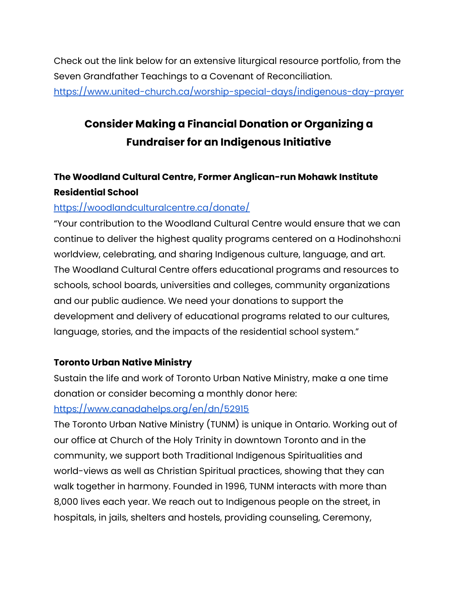Check out the link below for an extensive liturgical resource portfolio, from the Seven Grandfather Teachings to a Covenant of Reconciliation. <https://www.united-church.ca/worship-special-days/indigenous-day-prayer>

# **Consider Making a Financial Donation or Organizing a Fundraiser for an Indigenous Initiative**

### **The Woodland Cultural Centre, Former Anglican-run Mohawk Institute Residential School**

#### <https://woodlandculturalcentre.ca/donate/>

"Your contribution to the Woodland Cultural Centre would ensure that we can continue to deliver the highest quality programs centered on a Hodinohsho:ni worldview, celebrating, and sharing Indigenous culture, language, and art. The Woodland Cultural Centre offers educational programs and resources to schools, school boards, universities and colleges, community organizations and our public audience. We need your donations to support the development and delivery of educational programs related to our cultures, language, stories, and the impacts of the residential school system."

#### **Toronto Urban Native Ministry**

Sustain the life and work of Toronto Urban Native Ministry, make a one time donation or consider becoming a monthly donor here: <https://www.canadahelps.org/en/dn/52915>

The Toronto Urban Native Ministry (TUNM) is unique in Ontario. Working out of our office at Church of the Holy Trinity in downtown Toronto and in the community, we support both Traditional Indigenous Spiritualities and world-views as well as Christian Spiritual practices, showing that they can walk together in harmony. Founded in 1996, TUNM interacts with more than 8,000 lives each year. We reach out to Indigenous people on the street, in hospitals, in jails, shelters and hostels, providing counseling, Ceremony,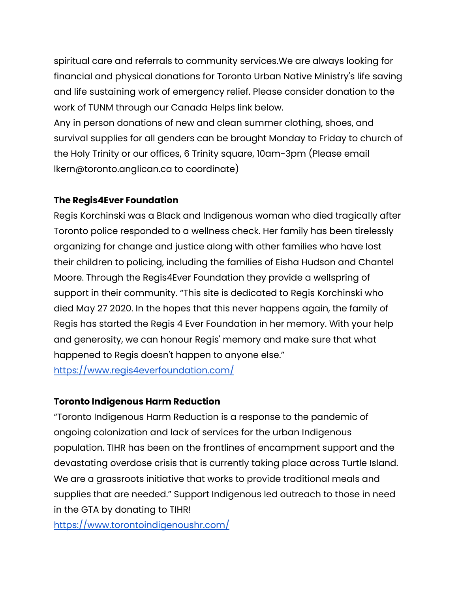spiritual care and referrals to community services.We are always looking for financial and physical donations for Toronto Urban Native Ministry's life saving and life sustaining work of emergency relief. Please consider donation to the work of TUNM through our Canada Helps link below.

Any in person donations of new and clean summer clothing, shoes, and survival supplies for all genders can be brought Monday to Friday to church of the Holy Trinity or our offices, 6 Trinity square, 10am-3pm (Please email lkern@toronto.anglican.ca to coordinate)

#### **The Regis4Ever Foundation**

Regis Korchinski was a Black and Indigenous woman who died tragically after Toronto police responded to a wellness check. Her family has been tirelessly organizing for change and justice along with other families who have lost their children to policing, including the families of Eisha Hudson and Chantel Moore. Through the Regis4Ever Foundation they provide a wellspring of support in their community. "This site is dedicated to Regis Korchinski who died May 27 2020. In the hopes that this never happens again, the family of Regis has started the Regis 4 Ever Foundation in her memory. With your help and generosity, we can honour Regis' memory and make sure that what happened to Regis doesn't happen to anyone else." <https://www.regis4everfoundation.com/>

#### **Toronto Indigenous Harm Reduction**

"Toronto Indigenous Harm Reduction is a response to the pandemic of ongoing colonization and lack of services for the urban Indigenous population. TIHR has been on the frontlines of encampment support and the devastating overdose crisis that is currently taking place across Turtle Island. We are a grassroots initiative that works to provide traditional meals and supplies that are needed." Support Indigenous led outreach to those in need in the GTA by donating to TIHR!

<https://www.torontoindigenoushr.com/>